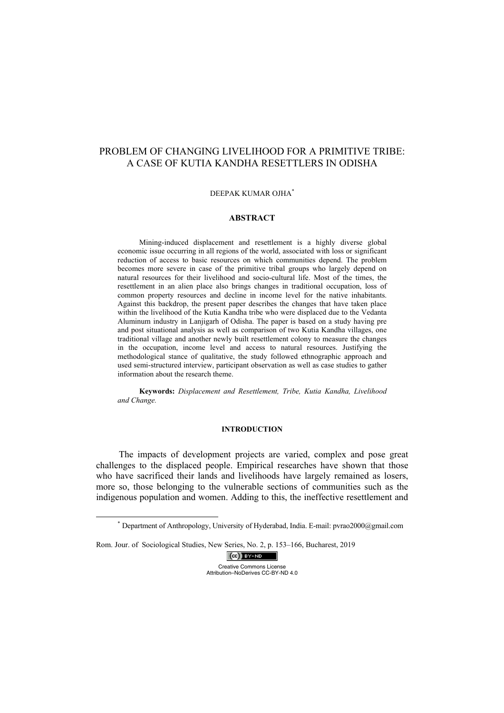# PROBLEM OF CHANGING LIVELIHOOD FOR A PRIMITIVE TRIBE: A CASE OF KUTIA KANDHA RESETTLERS IN ODISHA

## DEEPAK KUMAR OJHA\*

#### **ABSTRACT**

Mining-induced displacement and resettlement is a highly diverse global economic issue occurring in all regions of the world, associated with loss or significant reduction of access to basic resources on which communities depend. The problem becomes more severe in case of the primitive tribal groups who largely depend on natural resources for their livelihood and socio-cultural life. Most of the times, the resettlement in an alien place also brings changes in traditional occupation, loss of common property resources and decline in income level for the native inhabitants. Against this backdrop, the present paper describes the changes that have taken place within the livelihood of the Kutia Kandha tribe who were displaced due to the Vedanta Aluminum industry in Lanjigarh of Odisha. The paper is based on a study having pre and post situational analysis as well as comparison of two Kutia Kandha villages, one traditional village and another newly built resettlement colony to measure the changes in the occupation, income level and access to natural resources. Justifying the methodological stance of qualitative, the study followed ethnographic approach and used semi-structured interview, participant observation as well as case studies to gather information about the research theme.

**Keywords:** *Displacement and Resettlement, Tribe, Kutia Kandha, Livelihood and Change.* 

#### **INTRODUCTION**

The impacts of development projects are varied, complex and pose great challenges to the displaced people. Empirical researches have shown that those who have sacrificed their lands and livelihoods have largely remained as losers, more so, those belonging to the vulnerable sections of communities such as the indigenous population and women. Adding to this, the ineffective resettlement and

Rom. Jour. of Sociological Studies, New Series, No. 2, p. 153–166, Bucharest, 2019



 <sup>\*</sup> Department of Anthropology, University of Hyderabad, India. E-mail: pvrao2000@gmail.com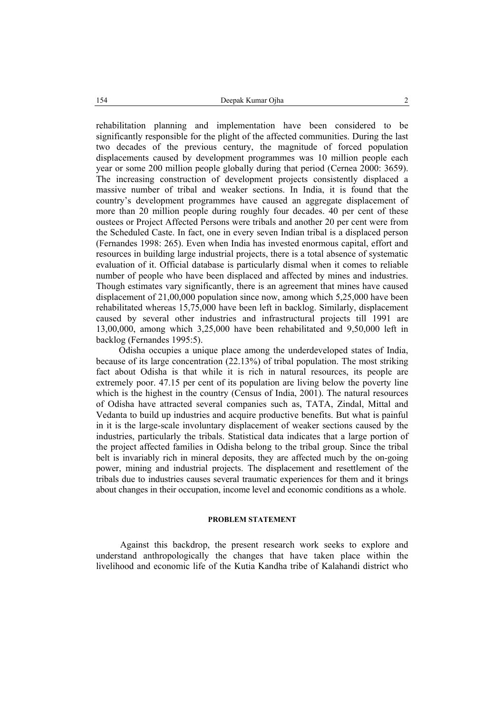rehabilitation planning and implementation have been considered to be significantly responsible for the plight of the affected communities. During the last two decades of the previous century, the magnitude of forced population displacements caused by development programmes was 10 million people each year or some 200 million people globally during that period (Cernea 2000: 3659). The increasing construction of development projects consistently displaced a massive number of tribal and weaker sections. In India, it is found that the country's development programmes have caused an aggregate displacement of more than 20 million people during roughly four decades. 40 per cent of these oustees or Project Affected Persons were tribals and another 20 per cent were from the Scheduled Caste. In fact, one in every seven Indian tribal is a displaced person (Fernandes 1998: 265). Even when India has invested enormous capital, effort and resources in building large industrial projects, there is a total absence of systematic evaluation of it. Official database is particularly dismal when it comes to reliable number of people who have been displaced and affected by mines and industries. Though estimates vary significantly, there is an agreement that mines have caused displacement of 21,00,000 population since now, among which 5,25,000 have been rehabilitated whereas 15,75,000 have been left in backlog. Similarly, displacement caused by several other industries and infrastructural projects till 1991 are 13,00,000, among which 3,25,000 have been rehabilitated and 9,50,000 left in backlog (Fernandes 1995:5).

Odisha occupies a unique place among the underdeveloped states of India, because of its large concentration (22.13%) of tribal population. The most striking fact about Odisha is that while it is rich in natural resources, its people are extremely poor. 47.15 per cent of its population are living below the poverty line which is the highest in the country (Census of India, 2001). The natural resources of Odisha have attracted several companies such as, TATA, Zindal, Mittal and Vedanta to build up industries and acquire productive benefits. But what is painful in it is the large-scale involuntary displacement of weaker sections caused by the industries, particularly the tribals. Statistical data indicates that a large portion of the project affected families in Odisha belong to the tribal group. Since the tribal belt is invariably rich in mineral deposits, they are affected much by the on-going power, mining and industrial projects. The displacement and resettlement of the tribals due to industries causes several traumatic experiences for them and it brings about changes in their occupation, income level and economic conditions as a whole.

#### **PROBLEM STATEMENT**

Against this backdrop, the present research work seeks to explore and understand anthropologically the changes that have taken place within the livelihood and economic life of the Kutia Kandha tribe of Kalahandi district who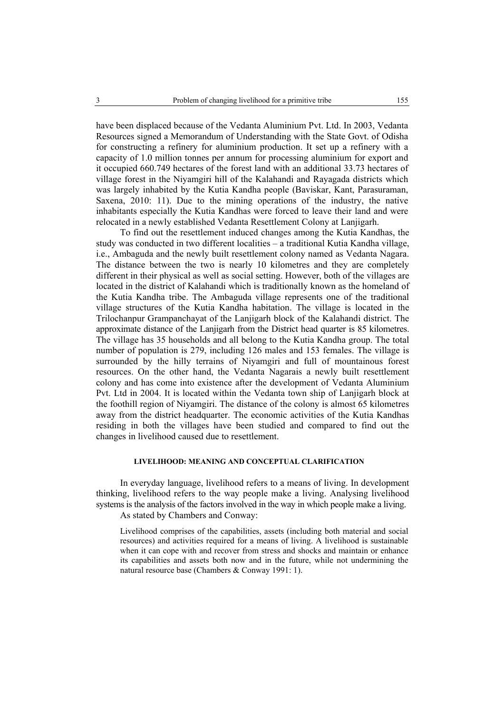have been displaced because of the Vedanta Aluminium Pvt. Ltd. In 2003, Vedanta Resources signed a Memorandum of Understanding with the State Govt. of Odisha for constructing a refinery for aluminium production. It set up a refinery with a capacity of 1.0 million tonnes per annum for processing aluminium for export and it occupied 660.749 hectares of the forest land with an additional 33.73 hectares of village forest in the Niyamgiri hill of the Kalahandi and Rayagada districts which was largely inhabited by the Kutia Kandha people (Baviskar, Kant, Parasuraman, Saxena, 2010: 11). Due to the mining operations of the industry, the native inhabitants especially the Kutia Kandhas were forced to leave their land and were relocated in a newly established Vedanta Resettlement Colony at Lanjigarh.

To find out the resettlement induced changes among the Kutia Kandhas, the study was conducted in two different localities – a traditional Kutia Kandha village, i.e., Ambaguda and the newly built resettlement colony named as Vedanta Nagara. The distance between the two is nearly 10 kilometres and they are completely different in their physical as well as social setting. However, both of the villages are located in the district of Kalahandi which is traditionally known as the homeland of the Kutia Kandha tribe. The Ambaguda village represents one of the traditional village structures of the Kutia Kandha habitation. The village is located in the Trilochanpur Grampanchayat of the Lanjigarh block of the Kalahandi district. The approximate distance of the Lanjigarh from the District head quarter is 85 kilometres. The village has 35 households and all belong to the Kutia Kandha group. The total number of population is 279, including 126 males and 153 females. The village is surrounded by the hilly terrains of Niyamgiri and full of mountainous forest resources. On the other hand, the Vedanta Nagarais a newly built resettlement colony and has come into existence after the development of Vedanta Aluminium Pvt. Ltd in 2004. It is located within the Vedanta town ship of Lanjigarh block at the foothill region of Niyamgiri. The distance of the colony is almost 65 kilometres away from the district headquarter. The economic activities of the Kutia Kandhas residing in both the villages have been studied and compared to find out the changes in livelihood caused due to resettlement.

## **LIVELIHOOD: MEANING AND CONCEPTUAL CLARIFICATION**

In everyday language, livelihood refers to a means of living. In development thinking, livelihood refers to the way people make a living. Analysing livelihood systems is the analysis of the factors involved in the way in which people make a living. As stated by Chambers and Conway:

Livelihood comprises of the capabilities, assets (including both material and social resources) and activities required for a means of living. A livelihood is sustainable when it can cope with and recover from stress and shocks and maintain or enhance its capabilities and assets both now and in the future, while not undermining the natural resource base (Chambers & Conway 1991: 1).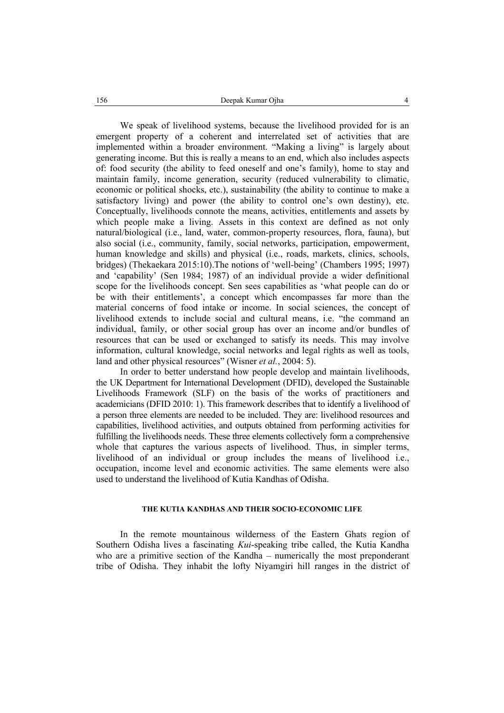We speak of livelihood systems, because the livelihood provided for is an emergent property of a coherent and interrelated set of activities that are implemented within a broader environment. "Making a living" is largely about generating income. But this is really a means to an end, which also includes aspects of: food security (the ability to feed oneself and one's family), home to stay and maintain family, income generation, security (reduced vulnerability to climatic, economic or political shocks, etc.), sustainability (the ability to continue to make a satisfactory living) and power (the ability to control one's own destiny), etc. Conceptually, livelihoods connote the means, activities, entitlements and assets by which people make a living. Assets in this context are defined as not only natural/biological (i.e., land, water, common-property resources, flora, fauna), but also social (i.e., community, family, social networks, participation, empowerment, human knowledge and skills) and physical (i.e., roads, markets, clinics, schools, bridges) (Thekaekara 2015:10).The notions of 'well-being' (Chambers 1995; 1997) and 'capability' (Sen 1984; 1987) of an individual provide a wider definitional scope for the livelihoods concept. Sen sees capabilities as 'what people can do or be with their entitlements', a concept which encompasses far more than the material concerns of food intake or income. In social sciences, the concept of livelihood extends to include social and cultural means, i.e. "the command an individual, family, or other social group has over an income and/or bundles of resources that can be used or exchanged to satisfy its needs. This may involve information, cultural knowledge, social networks and legal rights as well as tools, land and other physical resources" (Wisner *et al.*, 2004: 5).

In order to better understand how people develop and maintain livelihoods, the UK Department for International Development (DFID), developed the Sustainable Livelihoods Framework (SLF) on the basis of the works of practitioners and academicians (DFID 2010: 1). This framework describes that to identify a livelihood of a person three elements are needed to be included. They are: livelihood resources and capabilities, livelihood activities, and outputs obtained from performing activities for fulfilling the livelihoods needs. These three elements collectively form a comprehensive whole that captures the various aspects of livelihood. Thus, in simpler terms, livelihood of an individual or group includes the means of livelihood i.e., occupation, income level and economic activities. The same elements were also used to understand the livelihood of Kutia Kandhas of Odisha.

## **THE KUTIA KANDHAS AND THEIR SOCIO-ECONOMIC LIFE**

In the remote mountainous wilderness of the Eastern Ghats region of Southern Odisha lives a fascinating *Kui*-speaking tribe called, the Kutia Kandha who are a primitive section of the Kandha – numerically the most preponderant tribe of Odisha. They inhabit the lofty Niyamgiri hill ranges in the district of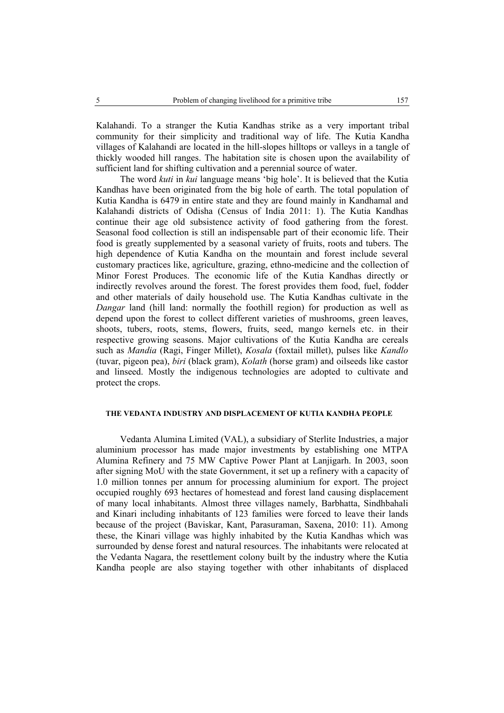Kalahandi. To a stranger the Kutia Kandhas strike as a very important tribal community for their simplicity and traditional way of life. The Kutia Kandha villages of Kalahandi are located in the hill-slopes hilltops or valleys in a tangle of thickly wooded hill ranges. The habitation site is chosen upon the availability of sufficient land for shifting cultivation and a perennial source of water.

The word *kuti* in *kui* language means 'big hole'. It is believed that the Kutia Kandhas have been originated from the big hole of earth. The total population of Kutia Kandha is 6479 in entire state and they are found mainly in Kandhamal and Kalahandi districts of Odisha (Census of India 2011: 1). The Kutia Kandhas continue their age old subsistence activity of food gathering from the forest. Seasonal food collection is still an indispensable part of their economic life. Their food is greatly supplemented by a seasonal variety of fruits, roots and tubers. The high dependence of Kutia Kandha on the mountain and forest include several customary practices like, agriculture, grazing, ethno-medicine and the collection of Minor Forest Produces. The economic life of the Kutia Kandhas directly or indirectly revolves around the forest. The forest provides them food, fuel, fodder and other materials of daily household use. The Kutia Kandhas cultivate in the *Dangar* land (hill land: normally the foothill region) for production as well as depend upon the forest to collect different varieties of mushrooms, green leaves, shoots, tubers, roots, stems, flowers, fruits, seed, mango kernels etc. in their respective growing seasons. Major cultivations of the Kutia Kandha are cereals such as *Mandia* (Ragi, Finger Millet), *Kosala* (foxtail millet), pulses like *Kandlo* (tuvar, pigeon pea), *biri* (black gram), *Kolath* (horse gram) and oilseeds like castor and linseed. Mostly the indigenous technologies are adopted to cultivate and protect the crops.

## **THE VEDANTA INDUSTRY AND DISPLACEMENT OF KUTIA KANDHA PEOPLE**

Vedanta Alumina Limited (VAL), a subsidiary of Sterlite Industries, a major aluminium processor has made major investments by establishing one MTPA Alumina Refinery and 75 MW Captive Power Plant at Lanjigarh. In 2003, soon after signing MoU with the state Government, it set up a refinery with a capacity of 1.0 million tonnes per annum for processing aluminium for export. The project occupied roughly 693 hectares of homestead and forest land causing displacement of many local inhabitants. Almost three villages namely, Barbhatta, Sindhbahali and Kinari including inhabitants of 123 families were forced to leave their lands because of the project (Baviskar, Kant, Parasuraman, Saxena, 2010: 11). Among these, the Kinari village was highly inhabited by the Kutia Kandhas which was surrounded by dense forest and natural resources. The inhabitants were relocated at the Vedanta Nagara, the resettlement colony built by the industry where the Kutia Kandha people are also staying together with other inhabitants of displaced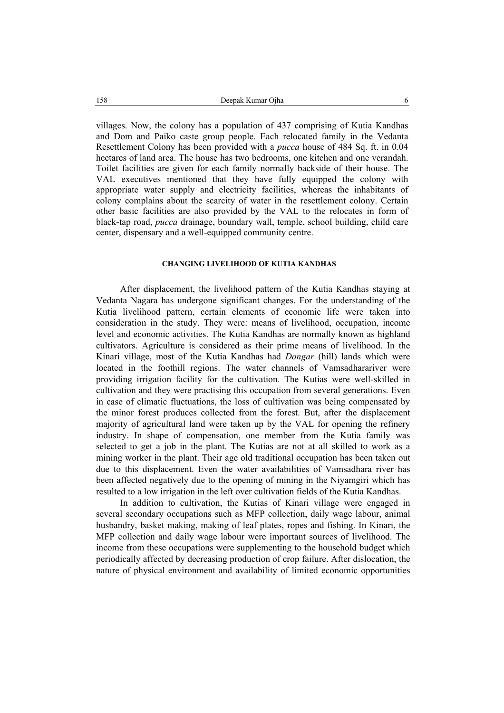villages. Now, the colony has a population of 437 comprising of Kutia Kandhas and Dom and Paiko caste group people. Each relocated family in the Vedanta Resettlement Colony has been provided with a *pucca* house of 484 Sq. ft. in 0.04 hectares of land area. The house has two bedrooms, one kitchen and one verandah. Toilet facilities are given for each family normally backside of their house. The VAL executives mentioned that they have fully equipped the colony with appropriate water supply and electricity facilities, whereas the inhabitants of colony complains about the scarcity of water in the resettlement colony. Certain other basic facilities are also provided by the VAL to the relocates in form of black-tap road, *pucca* drainage, boundary wall, temple, school building, child care center, dispensary and a well-equipped community centre.

## **CHANGING LIVELIHOOD OF KUTIA KANDHAS**

After displacement, the livelihood pattern of the Kutia Kandhas staying at Vedanta Nagara has undergone significant changes. For the understanding of the Kutia livelihood pattern, certain elements of economic life were taken into consideration in the study. They were: means of livelihood, occupation, income level and economic activities. The Kutia Kandhas are normally known as highland cultivators. Agriculture is considered as their prime means of livelihood. In the Kinari village, most of the Kutia Kandhas had *Dongar* (hill) lands which were located in the foothill regions. The water channels of Vamsadharariver were providing irrigation facility for the cultivation. The Kutias were well-skilled in cultivation and they were practising this occupation from several generations. Even in case of climatic fluctuations, the loss of cultivation was being compensated by the minor forest produces collected from the forest. But, after the displacement majority of agricultural land were taken up by the VAL for opening the refinery industry. In shape of compensation, one member from the Kutia family was selected to get a job in the plant. The Kutias are not at all skilled to work as a mining worker in the plant. Their age old traditional occupation has been taken out due to this displacement. Even the water availabilities of Vamsadhara river has been affected negatively due to the opening of mining in the Niyamgiri which has resulted to a low irrigation in the left over cultivation fields of the Kutia Kandhas.

In addition to cultivation, the Kutias of Kinari village were engaged in several secondary occupations such as MFP collection, daily wage labour, animal husbandry, basket making, making of leaf plates, ropes and fishing. In Kinari, the MFP collection and daily wage labour were important sources of livelihood. The income from these occupations were supplementing to the household budget which periodically affected by decreasing production of crop failure. After dislocation, the nature of physical environment and availability of limited economic opportunities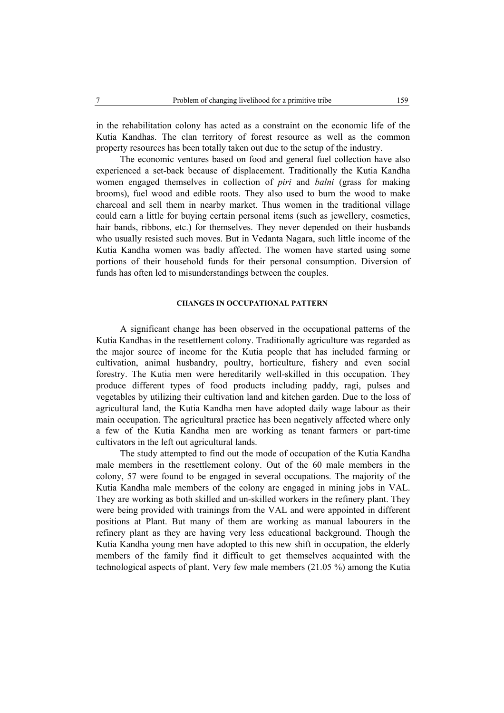in the rehabilitation colony has acted as a constraint on the economic life of the Kutia Kandhas. The clan territory of forest resource as well as the common property resources has been totally taken out due to the setup of the industry.

The economic ventures based on food and general fuel collection have also experienced a set-back because of displacement. Traditionally the Kutia Kandha women engaged themselves in collection of *piri* and *balni* (grass for making brooms), fuel wood and edible roots. They also used to burn the wood to make charcoal and sell them in nearby market. Thus women in the traditional village could earn a little for buying certain personal items (such as jewellery, cosmetics, hair bands, ribbons, etc.) for themselves. They never depended on their husbands who usually resisted such moves. But in Vedanta Nagara, such little income of the Kutia Kandha women was badly affected. The women have started using some portions of their household funds for their personal consumption. Diversion of funds has often led to misunderstandings between the couples.

# **CHANGES IN OCCUPATIONAL PATTERN**

A significant change has been observed in the occupational patterns of the Kutia Kandhas in the resettlement colony. Traditionally agriculture was regarded as the major source of income for the Kutia people that has included farming or cultivation, animal husbandry, poultry, horticulture, fishery and even social forestry. The Kutia men were hereditarily well-skilled in this occupation. They produce different types of food products including paddy, ragi, pulses and vegetables by utilizing their cultivation land and kitchen garden. Due to the loss of agricultural land, the Kutia Kandha men have adopted daily wage labour as their main occupation. The agricultural practice has been negatively affected where only a few of the Kutia Kandha men are working as tenant farmers or part-time cultivators in the left out agricultural lands.

The study attempted to find out the mode of occupation of the Kutia Kandha male members in the resettlement colony. Out of the 60 male members in the colony, 57 were found to be engaged in several occupations. The majority of the Kutia Kandha male members of the colony are engaged in mining jobs in VAL. They are working as both skilled and un-skilled workers in the refinery plant. They were being provided with trainings from the VAL and were appointed in different positions at Plant. But many of them are working as manual labourers in the refinery plant as they are having very less educational background. Though the Kutia Kandha young men have adopted to this new shift in occupation, the elderly members of the family find it difficult to get themselves acquainted with the technological aspects of plant. Very few male members (21.05 %) among the Kutia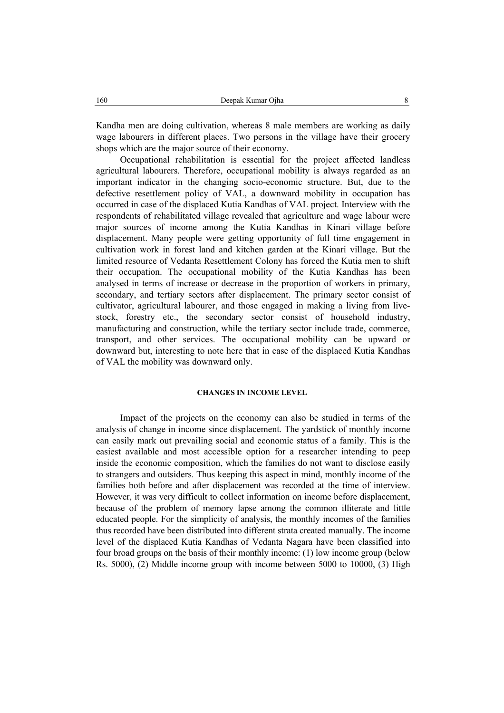Kandha men are doing cultivation, whereas 8 male members are working as daily wage labourers in different places. Two persons in the village have their grocery shops which are the major source of their economy.

Occupational rehabilitation is essential for the project affected landless agricultural labourers. Therefore, occupational mobility is always regarded as an important indicator in the changing socio-economic structure. But, due to the defective resettlement policy of VAL, a downward mobility in occupation has occurred in case of the displaced Kutia Kandhas of VAL project. Interview with the respondents of rehabilitated village revealed that agriculture and wage labour were major sources of income among the Kutia Kandhas in Kinari village before displacement. Many people were getting opportunity of full time engagement in cultivation work in forest land and kitchen garden at the Kinari village. But the limited resource of Vedanta Resettlement Colony has forced the Kutia men to shift their occupation. The occupational mobility of the Kutia Kandhas has been analysed in terms of increase or decrease in the proportion of workers in primary, secondary, and tertiary sectors after displacement. The primary sector consist of cultivator, agricultural labourer, and those engaged in making a living from livestock, forestry etc., the secondary sector consist of household industry, manufacturing and construction, while the tertiary sector include trade, commerce, transport, and other services. The occupational mobility can be upward or downward but, interesting to note here that in case of the displaced Kutia Kandhas of VAL the mobility was downward only.

### **CHANGES IN INCOME LEVEL**

Impact of the projects on the economy can also be studied in terms of the analysis of change in income since displacement. The yardstick of monthly income can easily mark out prevailing social and economic status of a family. This is the easiest available and most accessible option for a researcher intending to peep inside the economic composition, which the families do not want to disclose easily to strangers and outsiders. Thus keeping this aspect in mind, monthly income of the families both before and after displacement was recorded at the time of interview. However, it was very difficult to collect information on income before displacement, because of the problem of memory lapse among the common illiterate and little educated people. For the simplicity of analysis, the monthly incomes of the families thus recorded have been distributed into different strata created manually. The income level of the displaced Kutia Kandhas of Vedanta Nagara have been classified into four broad groups on the basis of their monthly income: (1) low income group (below Rs. 5000), (2) Middle income group with income between 5000 to 10000, (3) High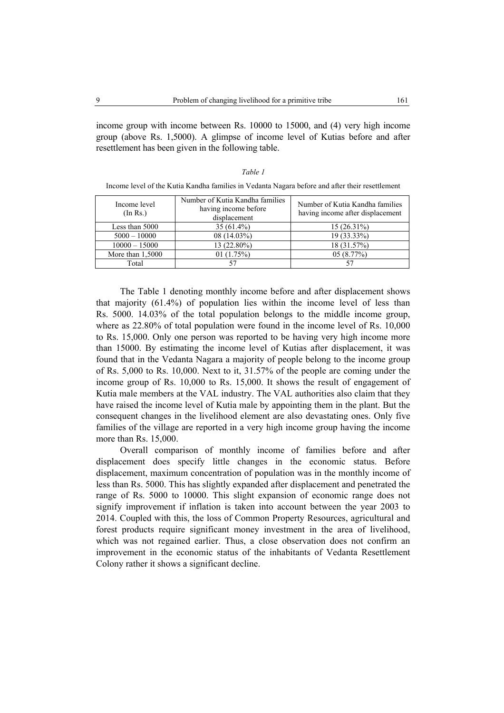income group with income between Rs. 10000 to 15000, and (4) very high income group (above Rs. 1,5000). A glimpse of income level of Kutias before and after resettlement has been given in the following table.

# *Table 1*

Income level of the Kutia Kandha families in Vedanta Nagara before and after their resettlement

| Income level<br>(In Rs.) | Number of Kutia Kandha families<br>having income before<br>displacement | Number of Kutia Kandha families<br>having income after displacement |
|--------------------------|-------------------------------------------------------------------------|---------------------------------------------------------------------|
| Less than 5000           | $35(61.4\%)$                                                            | $15(26.31\%)$                                                       |
| $5000 - 10000$           | $08(14.03\%)$                                                           | 19 (33.33%)                                                         |
| $10000 - 15000$          | 13 (22.80%)                                                             | 18 (31.57%)                                                         |
| More than 1,5000         | 01(1.75%)                                                               | 05(8.77%)                                                           |
| Total                    |                                                                         |                                                                     |

The Table 1 denoting monthly income before and after displacement shows that majority (61.4%) of population lies within the income level of less than Rs. 5000. 14.03% of the total population belongs to the middle income group, where as 22.80% of total population were found in the income level of Rs. 10,000 to Rs. 15,000. Only one person was reported to be having very high income more than 15000. By estimating the income level of Kutias after displacement, it was found that in the Vedanta Nagara a majority of people belong to the income group of Rs. 5,000 to Rs. 10,000. Next to it, 31.57% of the people are coming under the income group of Rs. 10,000 to Rs. 15,000. It shows the result of engagement of Kutia male members at the VAL industry. The VAL authorities also claim that they have raised the income level of Kutia male by appointing them in the plant. But the consequent changes in the livelihood element are also devastating ones. Only five families of the village are reported in a very high income group having the income more than Rs. 15,000.

Overall comparison of monthly income of families before and after displacement does specify little changes in the economic status. Before displacement, maximum concentration of population was in the monthly income of less than Rs. 5000. This has slightly expanded after displacement and penetrated the range of Rs. 5000 to 10000. This slight expansion of economic range does not signify improvement if inflation is taken into account between the year 2003 to 2014. Coupled with this, the loss of Common Property Resources, agricultural and forest products require significant money investment in the area of livelihood, which was not regained earlier. Thus, a close observation does not confirm an improvement in the economic status of the inhabitants of Vedanta Resettlement Colony rather it shows a significant decline.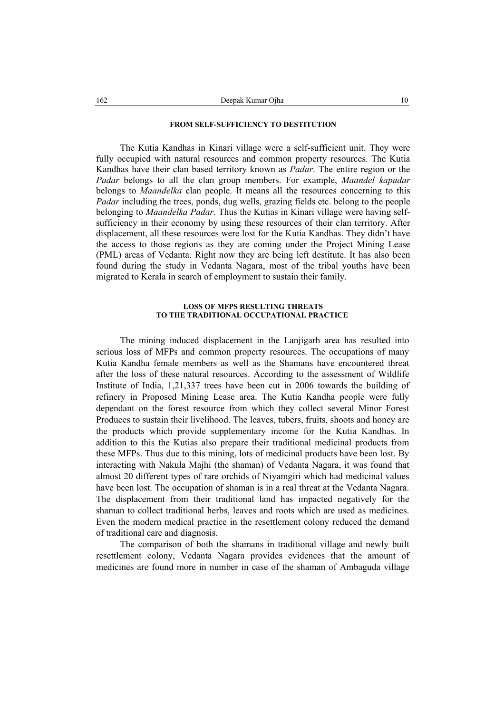### **FROM SELF-SUFFICIENCY TO DESTITUTION**

The Kutia Kandhas in Kinari village were a self-sufficient unit. They were fully occupied with natural resources and common property resources. The Kutia Kandhas have their clan based territory known as *Padar*. The entire region or the *Padar* belongs to all the clan group members. For example, *Maandel kapadar*  belongs to *Maandelka* clan people. It means all the resources concerning to this *Padar* including the trees, ponds, dug wells, grazing fields etc. belong to the people belonging to *Maandelka Padar*. Thus the Kutias in Kinari village were having selfsufficiency in their economy by using these resources of their clan territory. After displacement, all these resources were lost for the Kutia Kandhas. They didn't have the access to those regions as they are coming under the Project Mining Lease (PML) areas of Vedanta. Right now they are being left destitute. It has also been found during the study in Vedanta Nagara, most of the tribal youths have been migrated to Kerala in search of employment to sustain their family.

### **LOSS OF MFPS RESULTING THREATS TO THE TRADITIONAL OCCUPATIONAL PRACTICE**

The mining induced displacement in the Lanjigarh area has resulted into serious loss of MFPs and common property resources. The occupations of many Kutia Kandha female members as well as the Shamans have encountered threat after the loss of these natural resources. According to the assessment of Wildlife Institute of India, 1,21,337 trees have been cut in 2006 towards the building of refinery in Proposed Mining Lease area. The Kutia Kandha people were fully dependant on the forest resource from which they collect several Minor Forest Produces to sustain their livelihood. The leaves, tubers, fruits, shoots and honey are the products which provide supplementary income for the Kutia Kandhas. In addition to this the Kutias also prepare their traditional medicinal products from these MFPs. Thus due to this mining, lots of medicinal products have been lost. By interacting with Nakula Majhi (the shaman) of Vedanta Nagara, it was found that almost 20 different types of rare orchids of Niyamgiri which had medicinal values have been lost. The occupation of shaman is in a real threat at the Vedanta Nagara. The displacement from their traditional land has impacted negatively for the shaman to collect traditional herbs, leaves and roots which are used as medicines. Even the modern medical practice in the resettlement colony reduced the demand of traditional care and diagnosis.

The comparison of both the shamans in traditional village and newly built resettlement colony, Vedanta Nagara provides evidences that the amount of medicines are found more in number in case of the shaman of Ambaguda village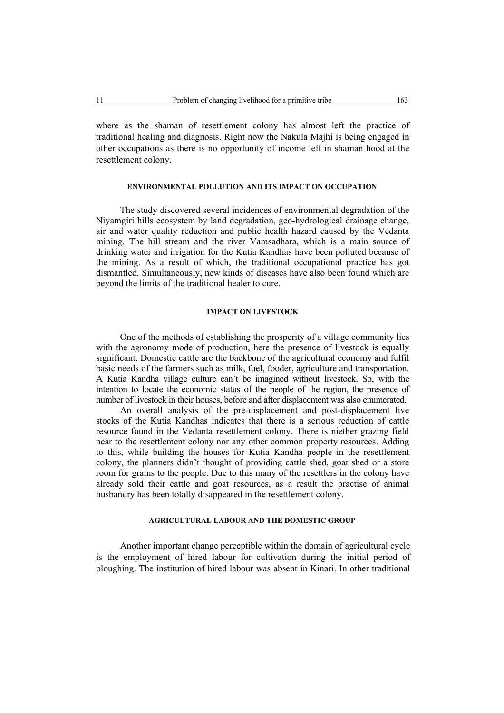where as the shaman of resettlement colony has almost left the practice of traditional healing and diagnosis. Right now the Nakula Majhi is being engaged in other occupations as there is no opportunity of income left in shaman hood at the resettlement colony.

# **ENVIRONMENTAL POLLUTION AND ITS IMPACT ON OCCUPATION**

The study discovered several incidences of environmental degradation of the Niyamgiri hills ecosystem by land degradation, geo-hydrological drainage change, air and water quality reduction and public health hazard caused by the Vedanta mining. The hill stream and the river Vamsadhara, which is a main source of drinking water and irrigation for the Kutia Kandhas have been polluted because of the mining. As a result of which, the traditional occupational practice has got dismantled. Simultaneously, new kinds of diseases have also been found which are beyond the limits of the traditional healer to cure.

## **IMPACT ON LIVESTOCK**

One of the methods of establishing the prosperity of a village community lies with the agronomy mode of production, here the presence of livestock is equally significant. Domestic cattle are the backbone of the agricultural economy and fulfil basic needs of the farmers such as milk, fuel, fooder, agriculture and transportation. A Kutia Kandha village culture can't be imagined without livestock. So, with the intention to locate the economic status of the people of the region, the presence of number of livestock in their houses, before and after displacement was also enumerated.

An overall analysis of the pre-displacement and post-displacement live stocks of the Kutia Kandhas indicates that there is a serious reduction of cattle resource found in the Vedanta resettlement colony. There is niether grazing field near to the resettlement colony nor any other common property resources. Adding to this, while building the houses for Kutia Kandha people in the resettlement colony, the planners didn't thought of providing cattle shed, goat shed or a store room for grains to the people. Due to this many of the resettlers in the colony have already sold their cattle and goat resources, as a result the practise of animal husbandry has been totally disappeared in the resettlement colony.

#### **AGRICULTURAL LABOUR AND THE DOMESTIC GROUP**

Another important change perceptible within the domain of agricultural cycle is the employment of hired labour for cultivation during the initial period of ploughing. The institution of hired labour was absent in Kinari. In other traditional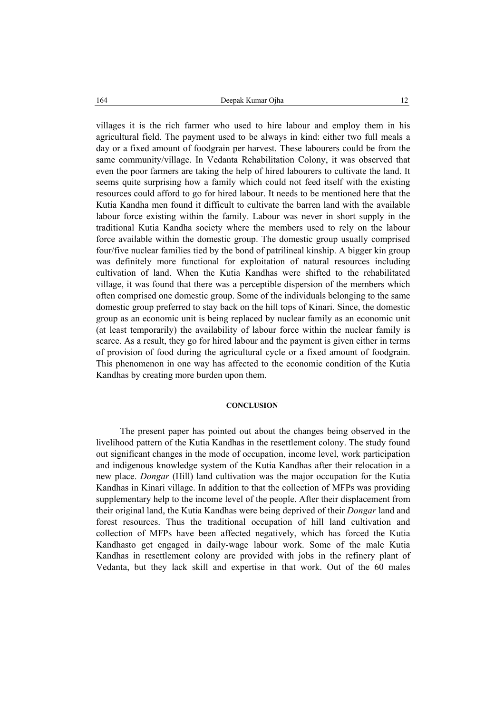villages it is the rich farmer who used to hire labour and employ them in his agricultural field. The payment used to be always in kind: either two full meals a day or a fixed amount of foodgrain per harvest. These labourers could be from the same community/village. In Vedanta Rehabilitation Colony, it was observed that even the poor farmers are taking the help of hired labourers to cultivate the land. It seems quite surprising how a family which could not feed itself with the existing resources could afford to go for hired labour. It needs to be mentioned here that the Kutia Kandha men found it difficult to cultivate the barren land with the available labour force existing within the family. Labour was never in short supply in the traditional Kutia Kandha society where the members used to rely on the labour force available within the domestic group. The domestic group usually comprised four/five nuclear families tied by the bond of patrilineal kinship. A bigger kin group was definitely more functional for exploitation of natural resources including cultivation of land. When the Kutia Kandhas were shifted to the rehabilitated village, it was found that there was a perceptible dispersion of the members which often comprised one domestic group. Some of the individuals belonging to the same domestic group preferred to stay back on the hill tops of Kinari. Since, the domestic group as an economic unit is being replaced by nuclear family as an economic unit (at least temporarily) the availability of labour force within the nuclear family is scarce. As a result, they go for hired labour and the payment is given either in terms of provision of food during the agricultural cycle or a fixed amount of foodgrain. This phenomenon in one way has affected to the economic condition of the Kutia Kandhas by creating more burden upon them.

#### **CONCLUSION**

The present paper has pointed out about the changes being observed in the livelihood pattern of the Kutia Kandhas in the resettlement colony. The study found out significant changes in the mode of occupation, income level, work participation and indigenous knowledge system of the Kutia Kandhas after their relocation in a new place. *Dongar* (Hill) land cultivation was the major occupation for the Kutia Kandhas in Kinari village. In addition to that the collection of MFPs was providing supplementary help to the income level of the people. After their displacement from their original land, the Kutia Kandhas were being deprived of their *Dongar* land and forest resources. Thus the traditional occupation of hill land cultivation and collection of MFPs have been affected negatively, which has forced the Kutia Kandhasto get engaged in daily-wage labour work. Some of the male Kutia Kandhas in resettlement colony are provided with jobs in the refinery plant of Vedanta, but they lack skill and expertise in that work. Out of the 60 males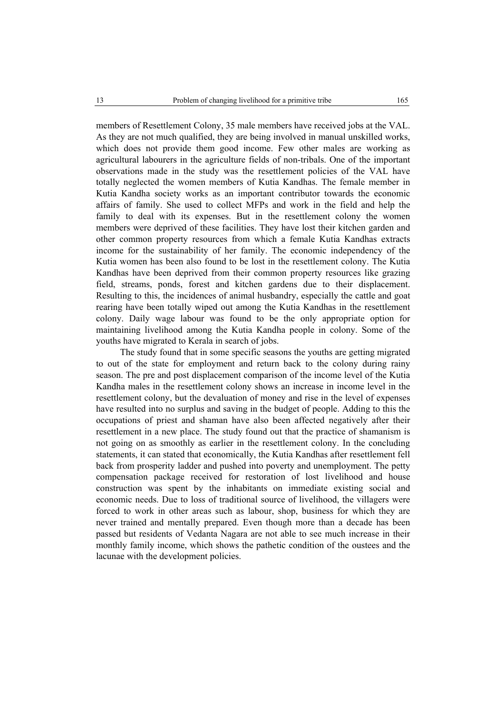members of Resettlement Colony, 35 male members have received jobs at the VAL. As they are not much qualified, they are being involved in manual unskilled works, which does not provide them good income. Few other males are working as agricultural labourers in the agriculture fields of non-tribals. One of the important observations made in the study was the resettlement policies of the VAL have totally neglected the women members of Kutia Kandhas. The female member in Kutia Kandha society works as an important contributor towards the economic affairs of family. She used to collect MFPs and work in the field and help the family to deal with its expenses. But in the resettlement colony the women members were deprived of these facilities. They have lost their kitchen garden and other common property resources from which a female Kutia Kandhas extracts income for the sustainability of her family. The economic independency of the Kutia women has been also found to be lost in the resettlement colony. The Kutia Kandhas have been deprived from their common property resources like grazing field, streams, ponds, forest and kitchen gardens due to their displacement. Resulting to this, the incidences of animal husbandry, especially the cattle and goat rearing have been totally wiped out among the Kutia Kandhas in the resettlement colony. Daily wage labour was found to be the only appropriate option for maintaining livelihood among the Kutia Kandha people in colony. Some of the youths have migrated to Kerala in search of jobs.

The study found that in some specific seasons the youths are getting migrated to out of the state for employment and return back to the colony during rainy season. The pre and post displacement comparison of the income level of the Kutia Kandha males in the resettlement colony shows an increase in income level in the resettlement colony, but the devaluation of money and rise in the level of expenses have resulted into no surplus and saving in the budget of people. Adding to this the occupations of priest and shaman have also been affected negatively after their resettlement in a new place. The study found out that the practice of shamanism is not going on as smoothly as earlier in the resettlement colony. In the concluding statements, it can stated that economically, the Kutia Kandhas after resettlement fell back from prosperity ladder and pushed into poverty and unemployment. The petty compensation package received for restoration of lost livelihood and house construction was spent by the inhabitants on immediate existing social and economic needs. Due to loss of traditional source of livelihood, the villagers were forced to work in other areas such as labour, shop, business for which they are never trained and mentally prepared. Even though more than a decade has been passed but residents of Vedanta Nagara are not able to see much increase in their monthly family income, which shows the pathetic condition of the oustees and the lacunae with the development policies.